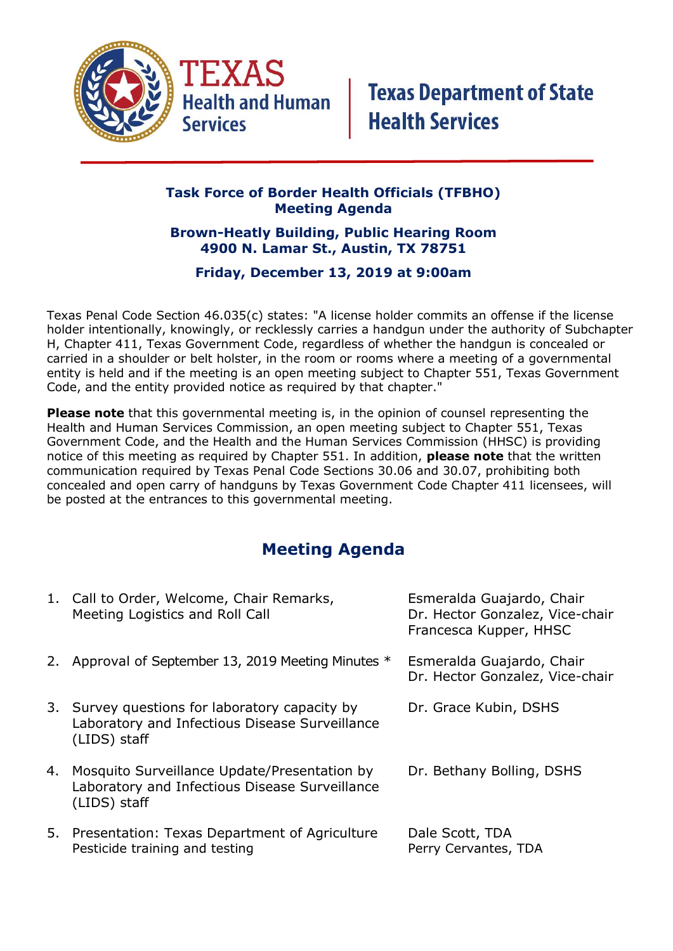

## **Task Force of Border Health Officials (TFBHO) Meeting Agenda**

## **Brown-Heatly Building, Public Hearing Room 4900 N. Lamar St., Austin, TX 78751**

## **Friday, December 13, 2019 at 9:00am**

Texas Penal Code Section 46.035(c) states: "A license holder commits an offense if the license holder intentionally, knowingly, or recklessly carries a handgun under the authority of Subchapter H, Chapter 411, Texas Government Code, regardless of whether the handgun is concealed or carried in a shoulder or belt holster, in the room or rooms where a meeting of a governmental entity is held and if the meeting is an open meeting subject to Chapter 551, Texas Government Code, and the entity provided notice as required by that chapter."

**Please note** that this governmental meeting is, in the opinion of counsel representing the Health and Human Services Commission, an open meeting subject to Chapter 551, Texas Government Code, and the Health and the Human Services Commission (HHSC) is providing notice of this meeting as required by Chapter 551. In addition, **please note** that the written communication required by Texas Penal Code Sections 30.06 and 30.07, prohibiting both concealed and open carry of handguns by Texas Government Code Chapter 411 licensees, will be posted at the entrances to this governmental meeting.

## **Meeting Agenda**

| 1. Call to Order, Welcome, Chair Remarks,<br>Meeting Logistics and Roll Call                                      | Esmeralda Guajardo, Chair<br>Dr. Hector Gonzalez, Vice-chair<br>Francesca Kupper, HHSC |
|-------------------------------------------------------------------------------------------------------------------|----------------------------------------------------------------------------------------|
| 2. Approval of September 13, 2019 Meeting Minutes *                                                               | Esmeralda Guajardo, Chair<br>Dr. Hector Gonzalez, Vice-chair                           |
| 3. Survey questions for laboratory capacity by<br>Laboratory and Infectious Disease Surveillance<br>(LIDS) staff  | Dr. Grace Kubin, DSHS                                                                  |
| 4. Mosquito Surveillance Update/Presentation by<br>Laboratory and Infectious Disease Surveillance<br>(LIDS) staff | Dr. Bethany Bolling, DSHS                                                              |
| 5. Presentation: Texas Department of Agriculture<br>Pesticide training and testing                                | Dale Scott, TDA<br>Perry Cervantes, TDA                                                |